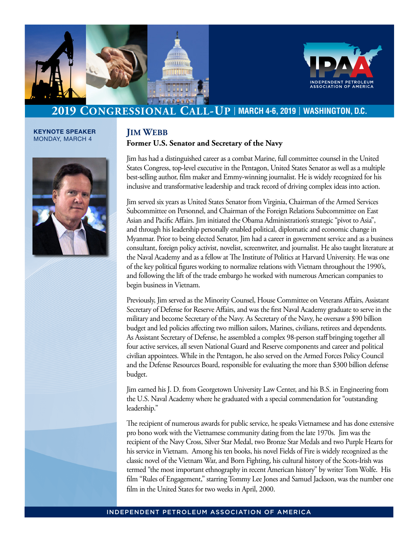



# **[2019 Congressional Call-Up](http://www.ipaa.org)** <sup>|</sup> **MARCH 4-6, 2019** <sup>|</sup> **WASHINGTON, D.C.**

**KEYNOTE SPEAKER**  MONDAY, MARCH 4



### **Jim Webb Former U.S. Senator and Secretary of the Navy**

Jim has had a distinguished career as a combat Marine, full committee counsel in the United States Congress, top-level executive in the Pentagon, United States Senator as well as a multiple best-selling author, film maker and Emmy-winning journalist. He is widely recognized for his inclusive and transformative leadership and track record of driving complex ideas into action.

Jim served six years as United States Senator from Virginia, Chairman of the Armed Services Subcommittee on Personnel, and Chairman of the Foreign Relations Subcommittee on East Asian and Pacific Affairs. Jim initiated the Obama Administration's strategic "pivot to Asia", and through his leadership personally enabled political, diplomatic and economic change in Myanmar. Prior to being elected Senator, Jim had a career in government service and as a business consultant, foreign policy activist, novelist, screenwriter, and journalist. He also taught literature at the Naval Academy and as a fellow at The Institute of Politics at Harvard University. He was one of the key political figures working to normalize relations with Vietnam throughout the 1990's, and following the lift of the trade embargo he worked with numerous American companies to begin business in Vietnam.

Previously, Jim served as the Minority Counsel, House Committee on Veterans Affairs, Assistant Secretary of Defense for Reserve Affairs, and was the first Naval Academy graduate to serve in the military and become Secretary of the Navy. As Secretary of the Navy, he oversaw a \$90 billion budget and led policies affecting two million sailors, Marines, civilians, retirees and dependents. As Assistant Secretary of Defense, he assembled a complex 98-person staff bringing together all four active services, all seven National Guard and Reserve components and career and political civilian appointees. While in the Pentagon, he also served on the Armed Forces Policy Council and the Defense Resources Board, responsible for evaluating the more than \$300 billion defense budget.

Jim earned his J. D. from Georgetown University Law Center, and his B.S. in Engineering from the U.S. Naval Academy where he graduated with a special commendation for "outstanding leadership."

The recipient of numerous awards for public service, he speaks Vietnamese and has done extensive pro bono work with the Vietnamese community dating from the late 1970s. Jim was the recipient of the Navy Cross, Silver Star Medal, two Bronze Star Medals and two Purple Hearts for his service in Vietnam. Among his ten books, his novel Fields of Fire is widely recognized as the classic novel of the Vietnam War, and Born Fighting, his cultural history of the Scots-Irish was termed "the most important ethnography in recent American history" by writer Tom Wolfe. His film "Rules of Engagement," starring Tommy Lee Jones and Samuel Jackson, was the number one film in the United States for two weeks in April, 2000.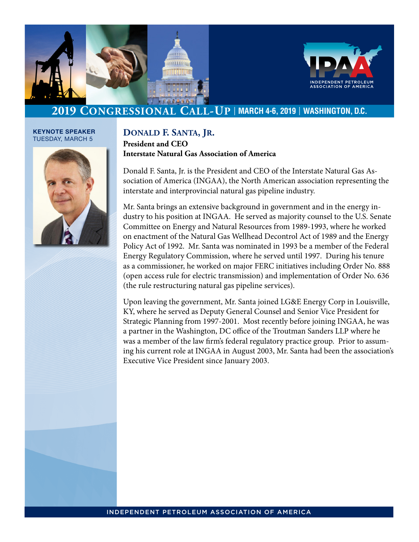



## **[2019 Congressional Call-Up](http://www.ipaa.org)** <sup>|</sup> **MARCH 4-6, 2019** <sup>|</sup> **WASHINGTON, D.C.**

#### **KEYNOTE SPEAKER**  TUESDAY, MARCH 5



### **Donald F. Santa, Jr. President and CEO Interstate Natural Gas Association of America**

Donald F. Santa, Jr. is the President and CEO of the Interstate Natural Gas Association of America (INGAA), the North American association representing the interstate and interprovincial natural gas pipeline industry.

Mr. Santa brings an extensive background in government and in the energy industry to his position at INGAA. He served as majority counsel to the U.S. Senate Committee on Energy and Natural Resources from 1989-1993, where he worked on enactment of the Natural Gas Wellhead Decontrol Act of 1989 and the Energy Policy Act of 1992. Mr. Santa was nominated in 1993 be a member of the Federal Energy Regulatory Commission, where he served until 1997. During his tenure as a commissioner, he worked on major FERC initiatives including Order No. 888 (open access rule for electric transmission) and implementation of Order No. 636 (the rule restructuring natural gas pipeline services).

Upon leaving the government, Mr. Santa joined LG&E Energy Corp in Louisville, KY, where he served as Deputy General Counsel and Senior Vice President for Strategic Planning from 1997-2001. Most recently before joining INGAA, he was a partner in the Washington, DC office of the Troutman Sanders LLP where he was a member of the law firm's federal regulatory practice group. Prior to assuming his current role at INGAA in August 2003, Mr. Santa had been the association's Executive Vice President since January 2003.